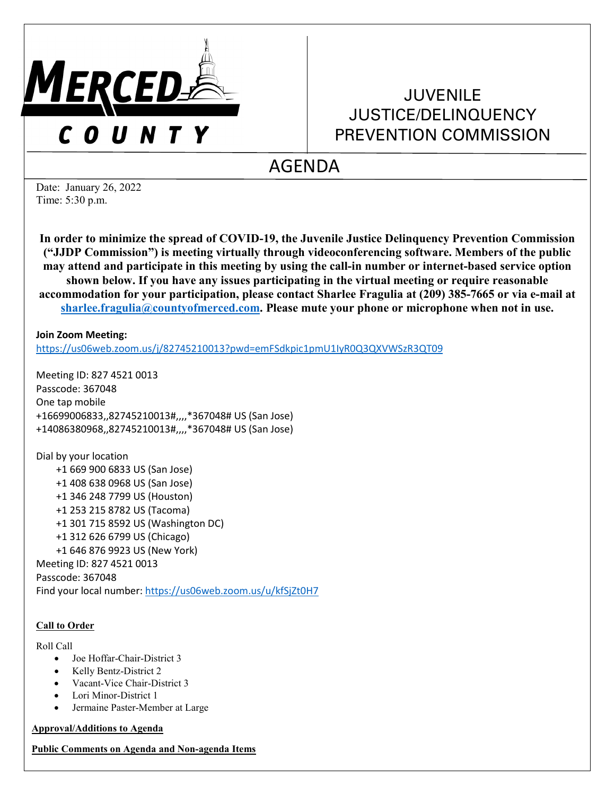

# JUVENILE JUSTICE/DELINQUENCY PREVENTION COMMISSION

# AGENDA

Date: January 26, 2022 Time: 5:30 p.m.

**In order to minimize the spread of COVID-19, the Juvenile Justice Delinquency Prevention Commission ("JJDP Commission") is meeting virtually through videoconferencing software. Members of the public may attend and participate in this meeting by using the call-in number or internet-based service option shown below. If you have any issues participating in the virtual meeting or require reasonable accommodation for your participation, please contact Sharlee Fragulia at (209) 385-7665 or via e-mail at [sharlee.fragulia@countyofmerced.com.](mailto:sharlee.fragulia@countyofmerced.com) Please mute your phone or microphone when not in use.**

**Join Zoom Meeting:**

<https://us06web.zoom.us/j/82745210013?pwd=emFSdkpic1pmU1IyR0Q3QXVWSzR3QT09>

Meeting ID: 827 4521 0013 Passcode: 367048 One tap mobile +16699006833,,82745210013#,,,,\*367048# US (San Jose) +14086380968,,82745210013#,,,,\*367048# US (San Jose)

Dial by your location +1 669 900 6833 US (San Jose) +1 408 638 0968 US (San Jose) +1 346 248 7799 US (Houston) +1 253 215 8782 US (Tacoma) +1 301 715 8592 US (Washington DC) +1 312 626 6799 US (Chicago) +1 646 876 9923 US (New York) Meeting ID: 827 4521 0013 Passcode: 367048 Find your local number[: https://us06web.zoom.us/u/kfSjZt0H7](https://us06web.zoom.us/u/kfSjZt0H7)

# **Call to Order**

Roll Call

- Joe Hoffar-Chair-District 3
- Kelly Bentz-District 2
- Vacant-Vice Chair-District 3
- Lori Minor-District 1
- Jermaine Paster-Member at Large

**Approval/Additions to Agenda**

**Public Comments on Agenda and Non-agenda Items**